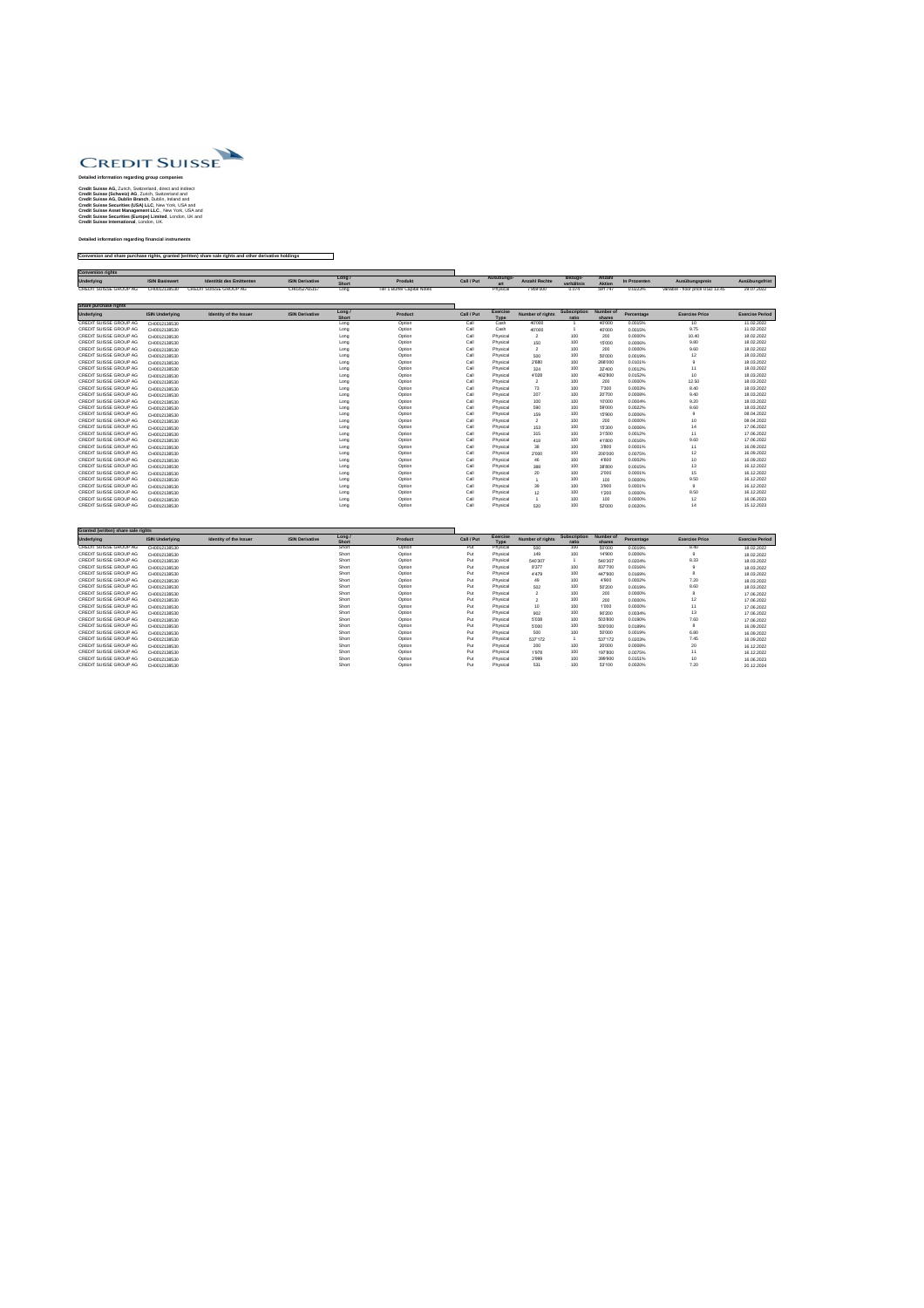

## **Detailed information regarding group companies**

**Credit Suisse AG,** Zurich, Switzerland, direct and indirect **Credit Suisse (Schweiz) AG**, Zurich, Switzerland and **Credit Suisse AG, Dublin Branch**, Dublin, Ireland and **Credit Suisse Securities (USA) LLC**, New York, USA and **Credit Suisse Asset Management LLC**., New York, USA and **Credit Suisse Securities (Europe) Limited**, London, UK and **Credit Suisse International**, London, UK.

## **Detailed information regarding financial instruments**

## **Conversion and share purchase rights, granted (written) share sale rights and other derivative holdings**

| <b>Conversion rights</b> |                       |                          |                        |                 |                             |            |            |                      |                              |                         |              |                                  |                |
|--------------------------|-----------------------|--------------------------|------------------------|-----------------|-----------------------------|------------|------------|----------------------|------------------------------|-------------------------|--------------|----------------------------------|----------------|
| <b>Underlying</b>        | <b>ISIN Basiswert</b> | Identität des Emittenten | <b>ISIN Derivative</b> | Long /<br>Short | Produkt                     | Call / Put | Ausübungs- | <b>Anzahl Rechte</b> | <b>Bezugs-</b><br>verhältnis | Anzahl<br><b>Aktien</b> | In Prozenten | Ausübungspreis                   | Ausübungsfrist |
| CREDIT SUISSE GROUP AG   | CH0012138530          | CREDIT SUISSE GROUP AG   | CH0352765157           | Long            | Tier 1 Buffer Capital Notes |            | Physical   | 7'959'000            | 0.074                        | 591'747                 | 0.0223%      | variable - floor price USD 13.45 | 29.07.2022     |

| <b>Share purchase rights</b>  |                        |                               |                        |                        |                |            |                                |                         |                              |                            |            |                       |                        |
|-------------------------------|------------------------|-------------------------------|------------------------|------------------------|----------------|------------|--------------------------------|-------------------------|------------------------------|----------------------------|------------|-----------------------|------------------------|
| <b>Underlying</b>             | <b>ISIN Underlying</b> | <b>Identity of the Issuer</b> | <b>ISIN Derivative</b> | Long /<br><b>Short</b> | <b>Product</b> | Call / Put | <b>Exercise</b><br><b>Type</b> | <b>Number of rights</b> | <b>Subscription</b><br>ratio | <b>Number of</b><br>shares | Percentage | <b>Exercise Price</b> | <b>Exercise Period</b> |
| <b>CREDIT SUISSE GROUP AG</b> | CH0012138530           |                               |                        | Long                   | Option         | Call       | Cash                           | 40'000                  |                              | 40'000                     | 0.0015%    | 10                    | 11.02.2022             |
| <b>CREDIT SUISSE GROUP AG</b> | CH0012138530           |                               |                        | Long                   | Option         | Call       | Cash                           | 40'000                  |                              | 40'000                     | 0.0015%    | 9.75                  | 11.02.2022             |
| <b>CREDIT SUISSE GROUP AG</b> | CH0012138530           |                               |                        | Long                   | Option         | Call       | Physical                       | $\overline{2}$          | 100                          | 200                        | 0.0000%    | 10.40                 | 18.02.2022             |
| <b>CREDIT SUISSE GROUP AG</b> | CH0012138530           |                               |                        | Long                   | Option         | Call       | Physical                       | 150                     | 100                          | 15'000                     | 0.0006%    | 9.80                  | 18.02.2022             |
| <b>CREDIT SUISSE GROUP AG</b> | CH0012138530           |                               |                        | Long                   | Option         | Call       | Physical                       | 2                       | 100                          | 200                        | 0.0000%    | 9.60                  | 18.02.2022             |
| <b>CREDIT SUISSE GROUP AG</b> | CH0012138530           |                               |                        | Long                   | Option         | Call       | Physical                       | 500                     | 100                          | 50'000                     | 0.0019%    | 12                    | 18.03.2022             |
| <b>CREDIT SUISSE GROUP AG</b> | CH0012138530           |                               |                        | Long                   | Option         | Call       | Physical                       | 2'680                   | 100                          | 268'000                    | 0.0101%    |                       | 18.03.2022             |
| <b>CREDIT SUISSE GROUP AG</b> | CH0012138530           |                               |                        | Long                   | Option         | Call       | Physical                       | 324                     | 100                          | 32'400                     | 0.0012%    | 11                    | 18.03.2022             |
| <b>CREDIT SUISSE GROUP AG</b> | CH0012138530           |                               |                        | Long                   | Option         | Call       | Physical                       | 4'028                   | 100                          | 402'800                    | 0.0152%    | 10                    | 18.03.2022             |
| <b>CREDIT SUISSE GROUP AG</b> | CH0012138530           |                               |                        | Long                   | Option         | Call       | Physical                       | 2                       | 100                          | 200                        | 0.0000%    | 12.50                 | 18.03.2022             |
| <b>CREDIT SUISSE GROUP AG</b> | CH0012138530           |                               |                        | Long                   | Option         | Call       | Physical                       | 73                      | 100                          | 7'300                      | 0.0003%    | 8.40                  | 18.03.2022             |
| <b>CREDIT SUISSE GROUP AG</b> | CH0012138530           |                               |                        | Long                   | Option         | Call       | Physical                       | 207                     | 100                          | 20'700                     | 0.0008%    | 9.40                  | 18.03.2022             |
| CREDIT SUISSE GROUP AG        | CH0012138530           |                               |                        | Long                   | Option         | Call       | Physical                       | 100                     | 100                          | 10'000                     | 0.0004%    | 9.20                  | 18.03.2022             |
| <b>CREDIT SUISSE GROUP AG</b> | CH0012138530           |                               |                        | Long                   | Option         | Call       | Physical                       | 590                     | 100                          | 59'000                     | 0.0022%    | 8.60                  | 18.03.2022             |
| CREDIT SUISSE GROUP AG        | CH0012138530           |                               |                        | Long                   | Option         | Call       | Physical                       | 159                     | 100                          | 15'900                     | 0.0006%    |                       | 08.04.2022             |
| <b>CREDIT SUISSE GROUP AG</b> | CH0012138530           |                               |                        | Long                   | Option         | Call       | Physical                       | -2                      | 100                          | 200                        | 0.0000%    | 10                    | 08.04.2022             |
| <b>CREDIT SUISSE GROUP AG</b> | CH0012138530           |                               |                        | Long                   | Option         | Call       | Physical                       | 153                     | 100                          | 15'300                     | 0.0006%    |                       | 17.06.2022             |
| <b>CREDIT SUISSE GROUP AG</b> | CH0012138530           |                               |                        | Long                   | Option         | Call       | Physical                       | 315                     | 100                          | 31'500                     | 0.0012%    | 11                    | 17.06.2022             |
| <b>CREDIT SUISSE GROUP AG</b> | CH0012138530           |                               |                        | Long                   | Option         | Call       | Physical                       | 418                     | 100                          | 41'800                     | 0.0016%    | 9.60                  | 17.06.2022             |
| <b>CREDIT SUISSE GROUP AG</b> | CH0012138530           |                               |                        | Long                   | Option         | Call       | Physical                       | 38                      | 100                          | 3'800                      | 0.0001%    | 11                    | 16.09.2022             |
| <b>CREDIT SUISSE GROUP AG</b> | CH0012138530           |                               |                        | Long                   | Option         | Call       | Physical                       | 2'000                   | 100                          | 200'000                    | 0.0075%    | 12                    | 16.09.2022             |
| <b>CREDIT SUISSE GROUP AG</b> | CH0012138530           |                               |                        | Long                   | Option         | Call       | Physical                       | 46                      | 100                          | 4'600                      | 0.0002%    | 10                    | 16.09.2022             |
| CREDIT SUISSE GROUP AG        | CH0012138530           |                               |                        | Long                   | Option         | Call       | Physical                       | 388                     | 100                          | 38'800                     | 0.0015%    | 13                    | 16.12.2022             |
| <b>CREDIT SUISSE GROUP AG</b> | CH0012138530           |                               |                        | Long                   | Option         | Call       | Physical                       | 20                      | 100                          | 2'000                      | 0.0001%    | 15                    | 16.12.2022             |
| <b>CREDIT SUISSE GROUP AG</b> | CH0012138530           |                               |                        | Long                   | Option         | Call       | Physical                       |                         | 100                          | 100                        | 0.0000%    | 9.50                  | 16.12.2022             |
| <b>CREDIT SUISSE GROUP AG</b> | CH0012138530           |                               |                        | Long                   | Option         | Call       | Physical                       | 39                      | 100                          | 3'900                      | 0.0001%    | 9                     | 16.12.2022             |
| <b>CREDIT SUISSE GROUP AG</b> | CH0012138530           |                               |                        | Long                   | Option         | Call       | Physical                       | 12                      | 100                          | 1'200                      | 0.0000%    | 8.50                  | 16.12.2022             |
| <b>CREDIT SUISSE GROUP AG</b> | CH0012138530           |                               |                        | Long                   | Option         | Call       | Physical                       |                         | 100                          | 100                        | 0.0000%    | 12                    | 16.06.2023             |
| <b>CREDIT SUISSE GROUP AG</b> | CH0012138530           |                               |                        | Long                   | Option         | Call       | Physical                       | 520                     | 100                          | 52'000                     | 0.0020%    | 14                    | 15.12.2023             |

| Granted (written) share sale rights |                        |                        |                        |                      |                |            |                                |                         |                              |                     |            |                       |                        |
|-------------------------------------|------------------------|------------------------|------------------------|----------------------|----------------|------------|--------------------------------|-------------------------|------------------------------|---------------------|------------|-----------------------|------------------------|
| <b>Underlying</b>                   | <b>ISIN Underlying</b> | Identity of the Issuer | <b>ISIN Derivative</b> | Long<br><b>Short</b> | <b>Product</b> | Call / Put | <b>Exercise</b><br><b>Type</b> | <b>Number of rights</b> | <b>Subscription</b><br>ratio | Number of<br>shares | Percentage | <b>Exercise Price</b> | <b>Exercise Period</b> |
| CREDIT SUISSE GROUP AG              | CH0012138530           |                        |                        | Short                | Option         | Put        | Physical                       | 500                     | 100                          | 50'000              | 0.0019%    | 8.40                  | 18.02.2022             |
| <b>CREDIT SUISSE GROUP AG</b>       | CH0012138530           |                        |                        | Short                | Option         | Put        | Physical                       | 149                     | 100                          | 14'900              | 0.0006%    |                       | 18.02.2022             |
| CREDIT SUISSE GROUP AG              | CH0012138530           |                        |                        | Short                | Option         | Put        | Physical                       | 540'307                 |                              | 540'307             | 0.0204%    | 8.33                  | 18.03.2022             |
| CREDIT SUISSE GROUP AG              | CH0012138530           |                        |                        | Short                | Option         | Put        | Physical                       | 8'377                   | 100                          | 837'700             | 0.0316%    |                       | 18.03.2022             |
| CREDIT SUISSE GROUP AG              | CH0012138530           |                        |                        | Short                | Option         | Put        | Physical                       | 4'479                   | 100                          | 447'900             | 0.0169%    |                       | 18.03.2022             |
| CREDIT SUISSE GROUP AG              | CH0012138530           |                        |                        | Short                | Option         | Put        | Physical                       | 49                      | 100                          | 4'900               | 0.0002%    | 7.20                  | 18.03.2022             |
| CREDIT SUISSE GROUP AG              | CH0012138530           |                        |                        | Short                | Option         | Put        | Physical                       | 502                     | 100                          | 50'200              | 0.0019%    | 8.60                  | 18.03.2022             |
| CREDIT SUISSE GROUP AG              | CH0012138530           |                        |                        | Short                | Option         | Put        | Physical                       |                         | 100                          | 200                 | 0.0000%    |                       | 17.06.2022             |
| CREDIT SUISSE GROUP AG              | CH0012138530           |                        |                        | Short                | Option         | Put        | Physical                       |                         | 100                          | 200                 | 0.0000%    | 12                    | 17.06.2022             |
| CREDIT SUISSE GROUP AG              | CH0012138530           |                        |                        | Short                | Option         | Put        | Physical                       | 10                      | 100                          | 1'000               | 0.0000%    | 11                    | 17.06.2022             |
| CREDIT SUISSE GROUP AG              | CH0012138530           |                        |                        | Short                | Option         | Put        | Physical                       | 902                     | 100                          | 90'200              | 0.0034%    | 13                    | 17.06.2022             |
| CREDIT SUISSE GROUP AG              | CH0012138530           |                        |                        | Short                | Option         | Put        | Physical                       | 5'038                   | 100                          | 503'800             | 0.0190%    | 7.60                  | 17.06.2022             |
| CREDIT SUISSE GROUP AG              | CH0012138530           |                        |                        | Short                | Option         | Put        | Physical                       | 5'000                   | 100                          | 500'000             | 0.0189%    |                       | 16.09.2022             |
| CREDIT SUISSE GROUP AG              | CH0012138530           |                        |                        | Short                | Option         | Put        | Physical                       | 500                     | 100                          | 50'000              | 0.0019%    | 6.80                  | 16.09.2022             |
| CREDIT SUISSE GROUP AG              | CH0012138530           |                        |                        | Short                | Option         | Put        | Physical                       | 537'172                 |                              | 537'172             | 0.0203%    | 7.45                  | 16.09.2022             |
| CREDIT SUISSE GROUP AG              | CH0012138530           |                        |                        | Short                | Option         | Put        | Physical                       | 200                     | 100                          | 20'000              | 0.0008%    | 20                    | 16.12.2022             |
| CREDIT SUISSE GROUP AG              | CH0012138530           |                        |                        | Short                | Option         | Put        | Physical                       | 1'978                   | 100                          | 197'800             | 0.0075%    | 11                    | 16.12.2022             |
| CREDIT SUISSE GROUP AG              | CH0012138530           |                        |                        | Short                | Option         | Put        | Physical                       | 3'999                   | 100                          | 399'900             | 0.0151%    | 10                    | 16.06.2023             |
| CREDIT SUISSE GROUP AG              | CH0012138530           |                        |                        | Short                | Option         | Put        | Physical                       | 531                     | 100                          | 53'100              | 0.0020%    | 7.20                  | 20.12.2024             |